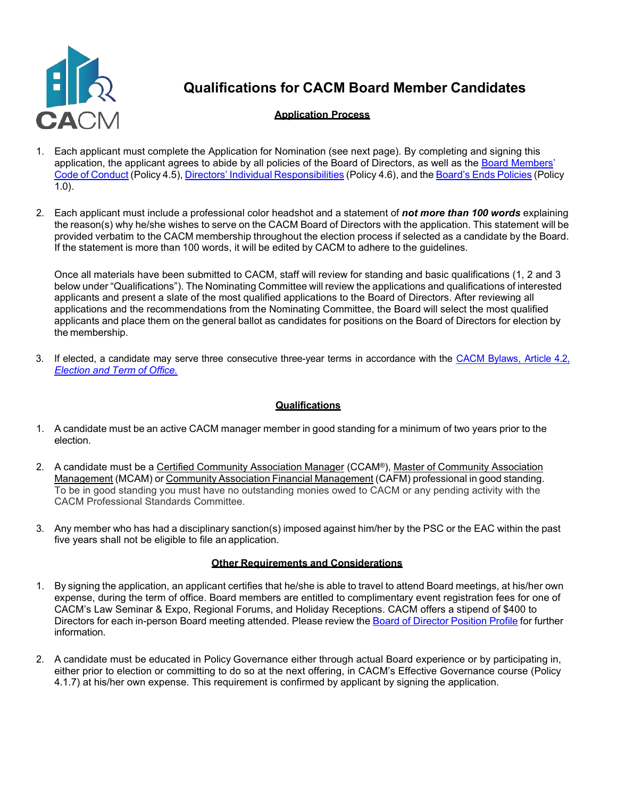

# **Qualifications for CACM Board Member Candidates**

## **Application Process**

- 1. Each applicant must complete the Application for Nomination (see next page). By completing and signing this application, the applicant agrees to abide by all policies of the Board of Directors, as well as the [Board Members'](https://cacm.org/wp-content/uploads/2021/06/Policy-4.5-Board-Members-Code-of-Conduct-2018.pdf) Code of [Conduct](https://cacm.org/wp-content/uploads/2021/06/Policy-4.5-Board-Members-Code-of-Conduct-2018.pdf) (Policy 4.5), Directors' Individual [Responsibilities](https://cacm.org/wp-content/uploads/2021/06/Policy-4.6-Directors-Individual-Responsibilities-2016.pdf) (Policy 4.6), and the Board's Ends [Policies](https://cacm.org/wp-content/uploads/2021/06/Policy-1.0-Ends-Policies-2018.pdf) (Policy 1.0).
- 2. Each applicant must include a professional color headshot and a statement of *not more than 100 words* explaining the reason(s) why he/she wishes to serve on the CACM Board of Directors with the application. This statement will be provided verbatim to the CACM membership throughout the election process if selected as a candidate by the Board. If the statement is more than 100 words, it will be edited by CACM to adhere to the guidelines.

Once all materials have been submitted to CACM, staff will review for standing and basic qualifications (1, 2 and 3 below under "Qualifications"). The Nominating Committee will review the applications and qualifications of interested applicants and present a slate of the most qualified applications to the Board of Directors. After reviewing all applications and the recommendations from the Nominating Committee, the Board will select the most qualified applicants and place them on the general ballot as candidates for positions on the Board of Directors for election by the membership.

3. If elected, a candidate may serve three consecutive three-year terms in accordance with the CACM [Bylaws,](https://cacm.org/wp-content/uploads/2021/06/CACM-Bylaws-4.2-Election-and-Term-of-Office-2018.pdf) Article 4.2, *[Election](https://cacm.org/wp-content/uploads/2021/06/CACM-Bylaws-4.2-Election-and-Term-of-Office-2018.pdf) and Term of Office.*

#### **Qualifications**

- 1. A candidate must be an active CACM manager member in good standing for a minimum of two years prior to the election.
- 2. A candidate must be a Certified Community Association Manager (CCAM®), Master of Community Association Management (MCAM) or Community Association Financial Management (CAFM) professional in good standing. To be in good standing you must have no outstanding monies owed to CACM or any pending activity with the CACM Professional Standards Committee.
- 3. Any member who has had a disciplinary sanction(s) imposed against him/her by the PSC or the EAC within the past five years shall not be eligible to file an application.

#### **Other Requirements and Considerations**

- 1. By signing the application, an applicant certifies that he/she is able to travel to attend Board meetings, at his/her own expense, during the term of office. Board members are entitled to complimentary event registration fees for one of CACM's Law Seminar & Expo, Regional Forums, and Holiday Receptions. CACM offers a stipend of \$400 to Directors for each in-person Board meeting attended. Please review the Board of Director [Position](https://cacm.org/wp-content/uploads/2020/06/Board-of-Director-Position-Profile-Brd-Approved-7-26-2018-V2.pdf) Profile for further information.
- 2. A candidate must be educated in Policy Governance either through actual Board experience or by participating in, either prior to election or committing to do so at the next offering, in CACM's Effective Governance course (Policy 4.1.7) at his/her own expense. This requirement is confirmed by applicant by signing the application.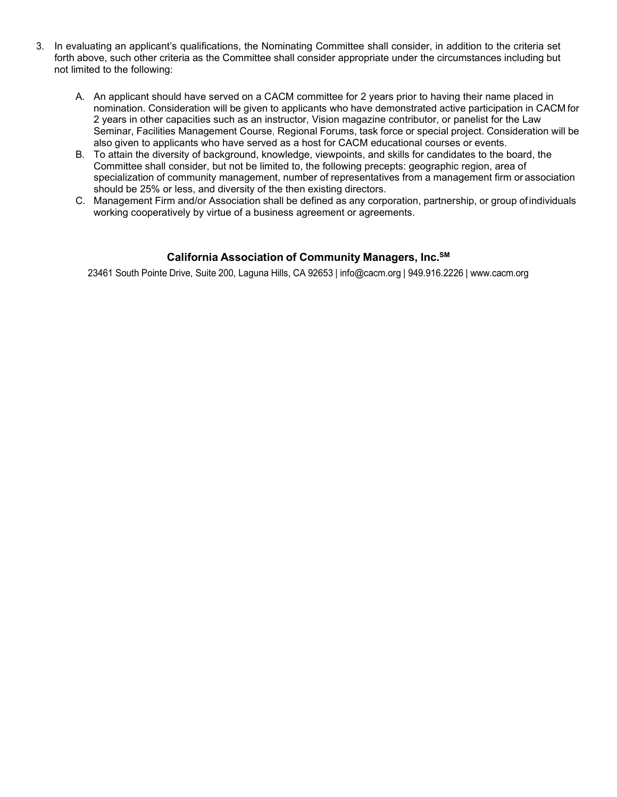- 3. In evaluating an applicant's qualifications, the Nominating Committee shall consider, in addition to the criteria set forth above, such other criteria as the Committee shall consider appropriate under the circumstances including but not limited to the following:
	- A. An applicant should have served on a CACM committee for 2 years prior to having their name placed in nomination. Consideration will be given to applicants who have demonstrated active participation in CACM for 2 years in other capacities such as an instructor, Vision magazine contributor, or panelist for the Law Seminar, Facilities Management Course, Regional Forums, task force or special project. Consideration will be also given to applicants who have served as a host for CACM educational courses or events.
	- B. To attain the diversity of background, knowledge, viewpoints, and skills for candidates to the board, the Committee shall consider, but not be limited to, the following precepts: geographic region, area of specialization of community management, number of representatives from a management firm or association should be 25% or less, and diversity of the then existing directors.
	- C. Management Firm and/or Association shall be defined as any corporation, partnership, or group ofindividuals working cooperatively by virtue of a business agreement or agreements.

### **California Association of Community Managers, Inc.SM**

23461 South Pointe Drive, Suite 200, Laguna Hills, CA 92653 | [info@cacm.org](mailto:%20info@cacm.org) | 949.916.2226 | [www.cacm.org](http://www.cacm.org/)